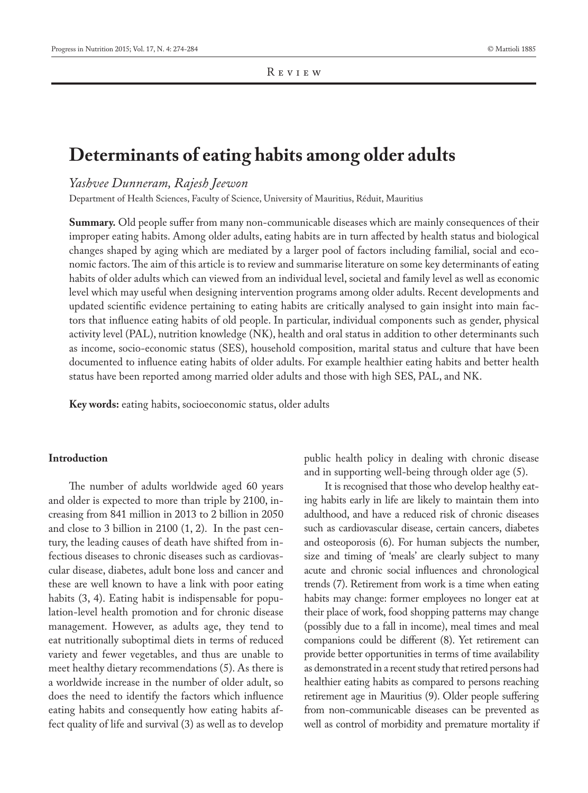# **Determinants of eating habits among older adults**

# *Yashvee Dunneram, Rajesh Jeewon*

Department of Health Sciences, Faculty of Science, University of Mauritius, Réduit, Mauritius

**Summary.** Old people suffer from many non-communicable diseases which are mainly consequences of their improper eating habits. Among older adults, eating habits are in turn affected by health status and biological changes shaped by aging which are mediated by a larger pool of factors including familial, social and economic factors. The aim of this article is to review and summarise literature on some key determinants of eating habits of older adults which can viewed from an individual level, societal and family level as well as economic level which may useful when designing intervention programs among older adults. Recent developments and updated scientific evidence pertaining to eating habits are critically analysed to gain insight into main factors that influence eating habits of old people. In particular, individual components such as gender, physical activity level (PAL), nutrition knowledge (NK), health and oral status in addition to other determinants such as income, socio-economic status (SES), household composition, marital status and culture that have been documented to influence eating habits of older adults. For example healthier eating habits and better health status have been reported among married older adults and those with high SES, PAL, and NK.

**Key words:** eating habits, socioeconomic status, older adults

## **Introduction**

The number of adults worldwide aged 60 years and older is expected to more than triple by 2100, increasing from 841 million in 2013 to 2 billion in 2050 and close to 3 billion in 2100 (1, 2). In the past century, the leading causes of death have shifted from infectious diseases to chronic diseases such as cardiovascular disease, diabetes, adult bone loss and cancer and these are well known to have a link with poor eating habits (3, 4). Eating habit is indispensable for population-level health promotion and for chronic disease management. However, as adults age, they tend to eat nutritionally suboptimal diets in terms of reduced variety and fewer vegetables, and thus are unable to meet healthy dietary recommendations (5). As there is a worldwide increase in the number of older adult, so does the need to identify the factors which influence eating habits and consequently how eating habits affect quality of life and survival (3) as well as to develop

public health policy in dealing with chronic disease and in supporting well-being through older age (5).

It is recognised that those who develop healthy eating habits early in life are likely to maintain them into adulthood, and have a reduced risk of chronic diseases such as cardiovascular disease, certain cancers, diabetes and osteoporosis (6). For human subjects the number, size and timing of 'meals' are clearly subject to many acute and chronic social influences and chronological trends (7). Retirement from work is a time when eating habits may change: former employees no longer eat at their place of work, food shopping patterns may change (possibly due to a fall in income), meal times and meal companions could be different (8). Yet retirement can provide better opportunities in terms of time availability as demonstrated in a recent study that retired persons had healthier eating habits as compared to persons reaching retirement age in Mauritius (9). Older people suffering from non-communicable diseases can be prevented as well as control of morbidity and premature mortality if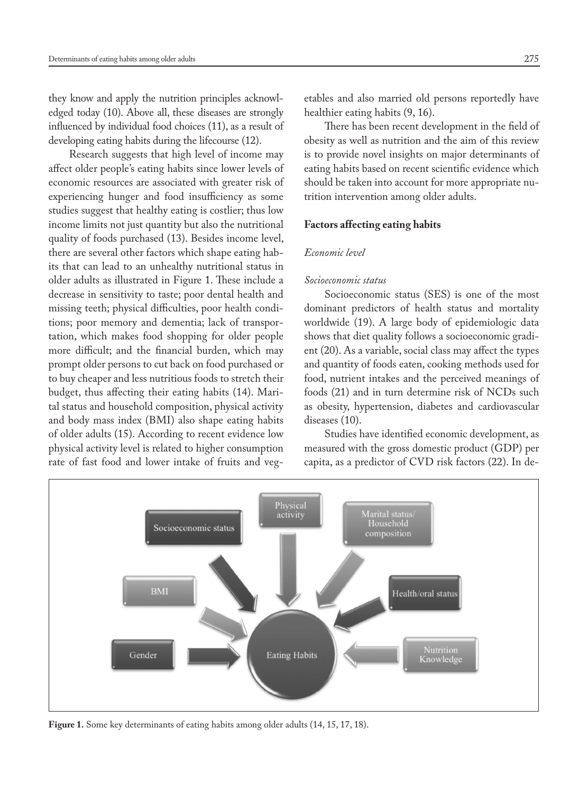they know and apply the nutrition principles acknowledged today (10). Above all, these diseases are strongly influenced by individual food choices (11), as a result of developing eating habits during the lifecourse (12).

Research suggests that high level of income may affect older people's eating habits since lower levels of economic resources are associated with greater risk of experiencing hunger and food insufficiency as some studies suggest that healthy eating is costlier; thus low income limits not just quantity but also the nutritional quality of foods purchased (13). Besides income level, there are several other factors which shape eating habits that can lead to an unhealthy nutritional status in older adults as illustrated in Figure 1. These include a decrease in sensitivity to taste; poor dental health and missing teeth; physical difficulties, poor health conditions; poor memory and dementia; lack of transportation, which makes food shopping for older people more difficult; and the financial burden, which may prompt older persons to cut back on food purchased or to buy cheaper and less nutritious foods to stretch their budget, thus affecting their eating habits (14). Marital status and household composition, physical activity and body mass index (BMI) also shape eating habits of older adults (15). According to recent evidence low physical activity level is related to higher consumption rate of fast food and lower intake of fruits and vegetables and also married old persons reportedly have healthier eating habits (9, 16).

There has been recent development in the field of obesity as well as nutrition and the aim of this review is to provide novel insights on major determinants of eating habits based on recent scientific evidence which should be taken into account for more appropriate nutrition intervention among older adults.

#### **Factors affecting eating habits**

#### *Economic level*

# *Socioeconomic status*

Socioeconomic status (SES) is one of the most dominant predictors of health status and mortality worldwide (19). A large body of epidemiologic data shows that diet quality follows a socioeconomic gradient (20). As a variable, social class may affect the types and quantity of foods eaten, cooking methods used for food, nutrient intakes and the perceived meanings of foods (21) and in turn determine risk of NCDs such as obesity, hypertension, diabetes and cardiovascular diseases (10).

Studies have identified economic development, as measured with the gross domestic product (GDP) per capita, as a predictor of CVD risk factors (22). In de-



**Figure 1.** Some key determinants of eating habits among older adults (14, 15, 17, 18).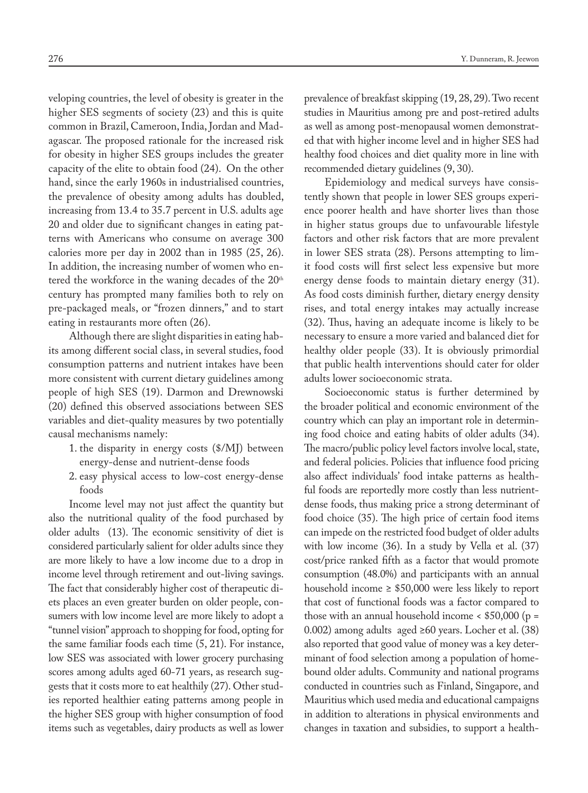veloping countries, the level of obesity is greater in the higher SES segments of society (23) and this is quite common in Brazil, Cameroon, India, Jordan and Madagascar. The proposed rationale for the increased risk for obesity in higher SES groups includes the greater capacity of the elite to obtain food (24). On the other hand, since the early 1960s in industrialised countries, the prevalence of obesity among adults has doubled, increasing from 13.4 to 35.7 percent in U.S. adults age 20 and older due to significant changes in eating patterns with Americans who consume on average 300 calories more per day in 2002 than in 1985 (25, 26). In addition, the increasing number of women who entered the workforce in the waning decades of the 20<sup>th</sup> century has prompted many families both to rely on pre-packaged meals, or "frozen dinners," and to start eating in restaurants more often (26).

Although there are slight disparities in eating habits among different social class, in several studies, food consumption patterns and nutrient intakes have been more consistent with current dietary guidelines among people of high SES (19). Darmon and Drewnowski (20) defined this observed associations between SES variables and diet-quality measures by two potentially causal mechanisms namely:

- 1. the disparity in energy costs (\$/MJ) between energy-dense and nutrient-dense foods
- 2. easy physical access to low-cost energy-dense foods

Income level may not just affect the quantity but also the nutritional quality of the food purchased by older adults (13). The economic sensitivity of diet is considered particularly salient for older adults since they are more likely to have a low income due to a drop in income level through retirement and out-living savings. The fact that considerably higher cost of therapeutic diets places an even greater burden on older people, consumers with low income level are more likely to adopt a "tunnel vision" approach to shopping for food, opting for the same familiar foods each time (5, 21). For instance, low SES was associated with lower grocery purchasing scores among adults aged 60-71 years, as research suggests that it costs more to eat healthily (27). Other studies reported healthier eating patterns among people in the higher SES group with higher consumption of food items such as vegetables, dairy products as well as lower

prevalence of breakfast skipping (19, 28, 29). Two recent studies in Mauritius among pre and post-retired adults as well as among post-menopausal women demonstrated that with higher income level and in higher SES had healthy food choices and diet quality more in line with recommended dietary guidelines (9, 30).

Epidemiology and medical surveys have consistently shown that people in lower SES groups experience poorer health and have shorter lives than those in higher status groups due to unfavourable lifestyle factors and other risk factors that are more prevalent in lower SES strata (28). Persons attempting to limit food costs will first select less expensive but more energy dense foods to maintain dietary energy (31). As food costs diminish further, dietary energy density rises, and total energy intakes may actually increase (32). Thus, having an adequate income is likely to be necessary to ensure a more varied and balanced diet for healthy older people (33). It is obviously primordial that public health interventions should cater for older adults lower socioeconomic strata.

Socioeconomic status is further determined by the broader political and economic environment of the country which can play an important role in determining food choice and eating habits of older adults (34). The macro/public policy level factors involve local, state, and federal policies. Policies that influence food pricing also affect individuals' food intake patterns as healthful foods are reportedly more costly than less nutrientdense foods, thus making price a strong determinant of food choice (35). The high price of certain food items can impede on the restricted food budget of older adults with low income (36). In a study by Vella et al. (37) cost/price ranked fifth as a factor that would promote consumption (48.0%) and participants with an annual household income  $\geq$  \$50,000 were less likely to report that cost of functional foods was a factor compared to those with an annual household income  $\lt$  \$50,000 (p = 0.002) among adults aged ≥60 years. Locher et al. (38) also reported that good value of money was a key determinant of food selection among a population of homebound older adults. Community and national programs conducted in countries such as Finland, Singapore, and Mauritius which used media and educational campaigns in addition to alterations in physical environments and changes in taxation and subsidies, to support a health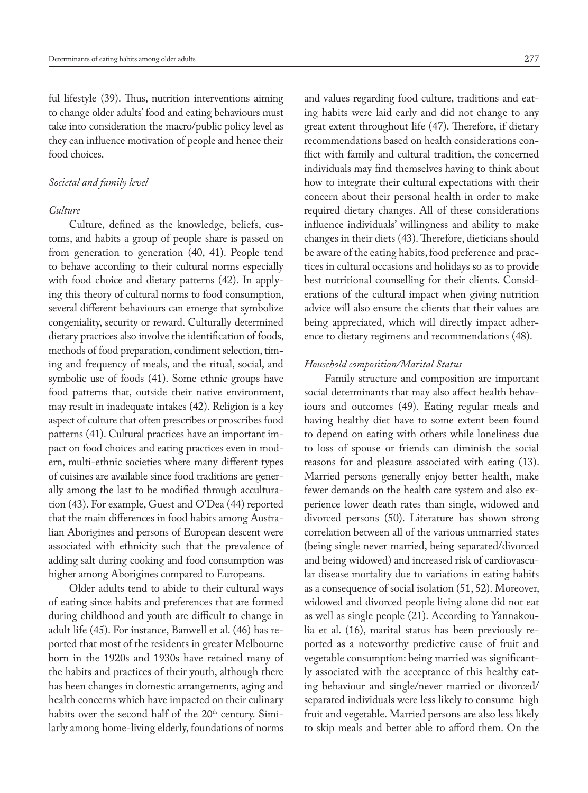ful lifestyle (39). Thus, nutrition interventions aiming to change older adults' food and eating behaviours must take into consideration the macro/public policy level as they can influence motivation of people and hence their food choices.

## *Societal and family level*

### *Culture*

Culture, defined as the knowledge, beliefs, customs, and habits a group of people share is passed on from generation to generation (40, 41). People tend to behave according to their cultural norms especially with food choice and dietary patterns (42). In applying this theory of cultural norms to food consumption, several different behaviours can emerge that symbolize congeniality, security or reward. Culturally determined dietary practices also involve the identification of foods, methods of food preparation, condiment selection, timing and frequency of meals, and the ritual, social, and symbolic use of foods (41). Some ethnic groups have food patterns that, outside their native environment, may result in inadequate intakes (42). Religion is a key aspect of culture that often prescribes or proscribes food patterns (41). Cultural practices have an important impact on food choices and eating practices even in modern, multi-ethnic societies where many different types of cuisines are available since food traditions are generally among the last to be modified through acculturation (43). For example, Guest and O'Dea (44) reported that the main differences in food habits among Australian Aborigines and persons of European descent were associated with ethnicity such that the prevalence of adding salt during cooking and food consumption was higher among Aborigines compared to Europeans.

Older adults tend to abide to their cultural ways of eating since habits and preferences that are formed during childhood and youth are difficult to change in adult life (45). For instance, Banwell et al. (46) has reported that most of the residents in greater Melbourne born in the 1920s and 1930s have retained many of the habits and practices of their youth, although there has been changes in domestic arrangements, aging and health concerns which have impacted on their culinary habits over the second half of the 20<sup>th</sup> century. Similarly among home-living elderly, foundations of norms

and values regarding food culture, traditions and eating habits were laid early and did not change to any great extent throughout life (47). Therefore, if dietary recommendations based on health considerations conflict with family and cultural tradition, the concerned individuals may find themselves having to think about how to integrate their cultural expectations with their concern about their personal health in order to make required dietary changes. All of these considerations influence individuals' willingness and ability to make changes in their diets (43). Therefore, dieticians should be aware of the eating habits, food preference and practices in cultural occasions and holidays so as to provide best nutritional counselling for their clients. Considerations of the cultural impact when giving nutrition advice will also ensure the clients that their values are being appreciated, which will directly impact adherence to dietary regimens and recommendations (48).

# *Household composition/Marital Status*

Family structure and composition are important social determinants that may also affect health behaviours and outcomes (49). Eating regular meals and having healthy diet have to some extent been found to depend on eating with others while loneliness due to loss of spouse or friends can diminish the social reasons for and pleasure associated with eating (13). Married persons generally enjoy better health, make fewer demands on the health care system and also experience lower death rates than single, widowed and divorced persons (50). Literature has shown strong correlation between all of the various unmarried states (being single never married, being separated/divorced and being widowed) and increased risk of cardiovascular disease mortality due to variations in eating habits as a consequence of social isolation (51, 52). Moreover, widowed and divorced people living alone did not eat as well as single people (21). According to Yannakoulia et al. (16), marital status has been previously reported as a noteworthy predictive cause of fruit and vegetable consumption: being married was significantly associated with the acceptance of this healthy eating behaviour and single/never married or divorced/ separated individuals were less likely to consume high fruit and vegetable. Married persons are also less likely to skip meals and better able to afford them. On the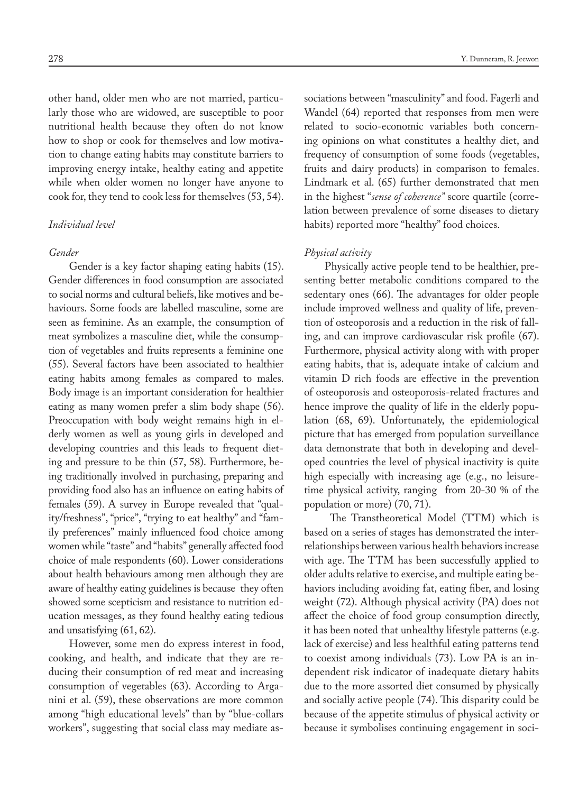other hand, older men who are not married, particularly those who are widowed, are susceptible to poor nutritional health because they often do not know how to shop or cook for themselves and low motivation to change eating habits may constitute barriers to improving energy intake, healthy eating and appetite while when older women no longer have anyone to cook for, they tend to cook less for themselves (53, 54).

## *Individual level*

#### *Gender*

Gender is a key factor shaping eating habits (15). Gender differences in food consumption are associated to social norms and cultural beliefs, like motives and behaviours. Some foods are labelled masculine, some are seen as feminine. As an example, the consumption of meat symbolizes a masculine diet, while the consumption of vegetables and fruits represents a feminine one (55). Several factors have been associated to healthier eating habits among females as compared to males. Body image is an important consideration for healthier eating as many women prefer a slim body shape (56). Preoccupation with body weight remains high in elderly women as well as young girls in developed and developing countries and this leads to frequent dieting and pressure to be thin (57, 58). Furthermore, being traditionally involved in purchasing, preparing and providing food also has an influence on eating habits of females (59). A survey in Europe revealed that "quality/freshness", "price", "trying to eat healthy" and "family preferences" mainly influenced food choice among women while "taste" and "habits" generally affected food choice of male respondents (60). Lower considerations about health behaviours among men although they are aware of healthy eating guidelines is because they often showed some scepticism and resistance to nutrition education messages, as they found healthy eating tedious and unsatisfying (61, 62).

However, some men do express interest in food, cooking, and health, and indicate that they are reducing their consumption of red meat and increasing consumption of vegetables (63). According to Arganini et al. (59), these observations are more common among "high educational levels" than by "blue-collars workers", suggesting that social class may mediate associations between "masculinity" and food. Fagerli and Wandel (64) reported that responses from men were related to socio-economic variables both concerning opinions on what constitutes a healthy diet, and frequency of consumption of some foods (vegetables, fruits and dairy products) in comparison to females. Lindmark et al. (65) further demonstrated that men in the highest "*sense of coherence"* score quartile (correlation between prevalence of some diseases to dietary habits) reported more "healthy" food choices.

# *Physical activity*

Physically active people tend to be healthier, presenting better metabolic conditions compared to the sedentary ones (66). The advantages for older people include improved wellness and quality of life, prevention of osteoporosis and a reduction in the risk of falling, and can improve cardiovascular risk profile (67). Furthermore, physical activity along with with proper eating habits, that is, adequate intake of calcium and vitamin D rich foods are effective in the prevention of osteoporosis and osteoporosis-related fractures and hence improve the quality of life in the elderly population (68, 69). Unfortunately, the epidemiological picture that has emerged from population surveillance data demonstrate that both in developing and developed countries the level of physical inactivity is quite high especially with increasing age (e.g., no leisuretime physical activity, ranging from 20-30 % of the population or more) (70, 71).

 The Transtheoretical Model (TTM) which is based on a series of stages has demonstrated the interrelationships between various health behaviors increase with age. The TTM has been successfully applied to older adults relative to exercise, and multiple eating behaviors including avoiding fat, eating fiber, and losing weight (72). Although physical activity (PA) does not affect the choice of food group consumption directly, it has been noted that unhealthy lifestyle patterns (e.g. lack of exercise) and less healthful eating patterns tend to coexist among individuals (73). Low PA is an independent risk indicator of inadequate dietary habits due to the more assorted diet consumed by physically and socially active people (74). This disparity could be because of the appetite stimulus of physical activity or because it symbolises continuing engagement in soci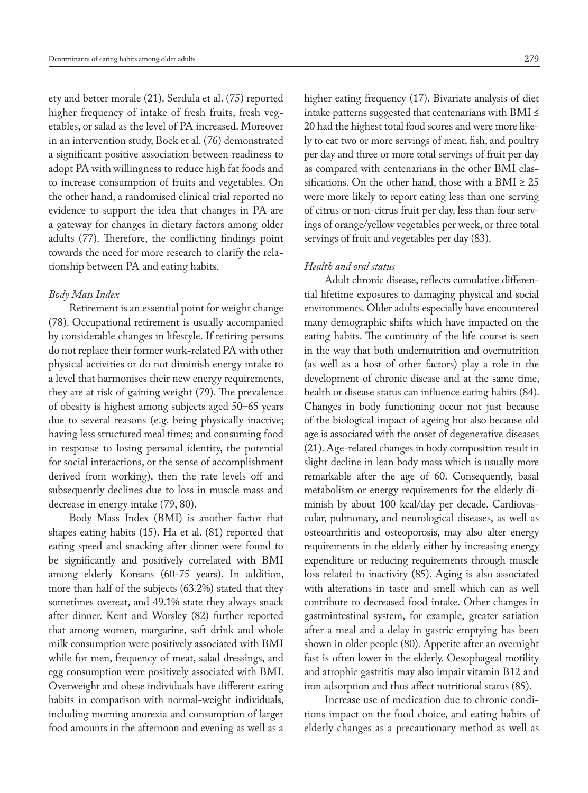ety and better morale (21). Serdula et al. (75) reported higher frequency of intake of fresh fruits, fresh vegetables, or salad as the level of PA increased. Moreover in an intervention study, Bock et al. (76) demonstrated a significant positive association between readiness to adopt PA with willingness to reduce high fat foods and to increase consumption of fruits and vegetables. On the other hand, a randomised clinical trial reported no evidence to support the idea that changes in PA are a gateway for changes in dietary factors among older adults (77). Therefore, the conflicting findings point towards the need for more research to clarify the relationship between PA and eating habits.

#### *Body Mass Index*

Retirement is an essential point for weight change (78). Occupational retirement is usually accompanied by considerable changes in lifestyle. If retiring persons do not replace their former work-related PA with other physical activities or do not diminish energy intake to a level that harmonises their new energy requirements, they are at risk of gaining weight (79). The prevalence of obesity is highest among subjects aged 50–65 years due to several reasons (e.g. being physically inactive; having less structured meal times; and consuming food in response to losing personal identity, the potential for social interactions, or the sense of accomplishment derived from working), then the rate levels off and subsequently declines due to loss in muscle mass and decrease in energy intake (79, 80).

Body Mass Index (BMI) is another factor that shapes eating habits (15). Ha et al. (81) reported that eating speed and snacking after dinner were found to be significantly and positively correlated with BMI among elderly Koreans (60-75 years). In addition, more than half of the subjects (63.2%) stated that they sometimes overeat, and 49.1% state they always snack after dinner. Kent and Worsley (82) further reported that among women, margarine, soft drink and whole milk consumption were positively associated with BMI while for men, frequency of meat, salad dressings, and egg consumption were positively associated with BMI. Overweight and obese individuals have different eating habits in comparison with normal-weight individuals, including morning anorexia and consumption of larger food amounts in the afternoon and evening as well as a

higher eating frequency (17). Bivariate analysis of diet intake patterns suggested that centenarians with BMI ≤ 20 had the highest total food scores and were more likely to eat two or more servings of meat, fish, and poultry per day and three or more total servings of fruit per day as compared with centenarians in the other BMI classifications. On the other hand, those with a BMI  $\geq 25$ were more likely to report eating less than one serving of citrus or non-citrus fruit per day, less than four servings of orange/yellow vegetables per week, or three total servings of fruit and vegetables per day (83).

# *Health and oral status*

Adult chronic disease, reflects cumulative differential lifetime exposures to damaging physical and social environments. Older adults especially have encountered many demographic shifts which have impacted on the eating habits. The continuity of the life course is seen in the way that both undernutrition and overnutrition (as well as a host of other factors) play a role in the development of chronic disease and at the same time, health or disease status can influence eating habits (84). Changes in body functioning occur not just because of the biological impact of ageing but also because old age is associated with the onset of degenerative diseases (21). Age-related changes in body composition result in slight decline in lean body mass which is usually more remarkable after the age of 60. Consequently, basal metabolism or energy requirements for the elderly diminish by about 100 kcal/day per decade. Cardiovascular, pulmonary, and neurological diseases, as well as osteoarthritis and osteoporosis, may also alter energy requirements in the elderly either by increasing energy expenditure or reducing requirements through muscle loss related to inactivity (85). Aging is also associated with alterations in taste and smell which can as well contribute to decreased food intake. Other changes in gastrointestinal system, for example, greater satiation after a meal and a delay in gastric emptying has been shown in older people (80). Appetite after an overnight fast is often lower in the elderly. Oesophageal motility and atrophic gastritis may also impair vitamin B12 and iron adsorption and thus affect nutritional status (85).

Increase use of medication due to chronic conditions impact on the food choice, and eating habits of elderly changes as a precautionary method as well as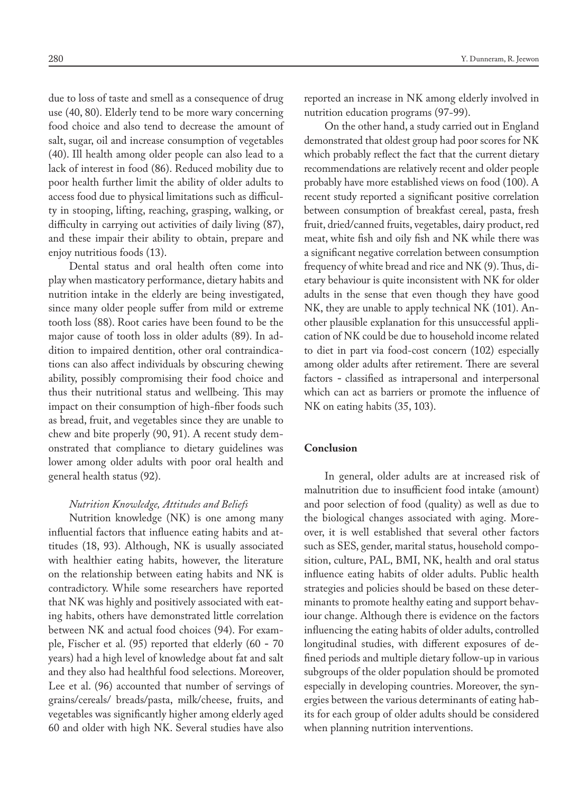due to loss of taste and smell as a consequence of drug use (40, 80). Elderly tend to be more wary concerning food choice and also tend to decrease the amount of salt, sugar, oil and increase consumption of vegetables (40). Ill health among older people can also lead to a lack of interest in food (86). Reduced mobility due to poor health further limit the ability of older adults to access food due to physical limitations such as difficulty in stooping, lifting, reaching, grasping, walking, or difficulty in carrying out activities of daily living (87), and these impair their ability to obtain, prepare and enjoy nutritious foods (13).

Dental status and oral health often come into play when masticatory performance, dietary habits and nutrition intake in the elderly are being investigated, since many older people suffer from mild or extreme tooth loss (88). Root caries have been found to be the major cause of tooth loss in older adults (89). In addition to impaired dentition, other oral contraindications can also affect individuals by obscuring chewing ability, possibly compromising their food choice and thus their nutritional status and wellbeing. This may impact on their consumption of high-fiber foods such as bread, fruit, and vegetables since they are unable to chew and bite properly (90, 91). A recent study demonstrated that compliance to dietary guidelines was lower among older adults with poor oral health and general health status (92).

### *Nutrition Knowledge, Attitudes and Beliefs*

Nutrition knowledge (NK) is one among many influential factors that influence eating habits and attitudes (18, 93). Although, NK is usually associated with healthier eating habits, however, the literature on the relationship between eating habits and NK is contradictory. While some researchers have reported that NK was highly and positively associated with eating habits, others have demonstrated little correlation between NK and actual food choices (94). For example, Fischer et al. (95) reported that elderly (60 **-** 70 years) had a high level of knowledge about fat and salt and they also had healthful food selections. Moreover, Lee et al. (96) accounted that number of servings of grains/cereals/ breads/pasta, milk/cheese, fruits, and vegetables was significantly higher among elderly aged 60 and older with high NK. Several studies have also

reported an increase in NK among elderly involved in nutrition education programs (97-99).

On the other hand, a study carried out in England demonstrated that oldest group had poor scores for NK which probably reflect the fact that the current dietary recommendations are relatively recent and older people probably have more established views on food (100). A recent study reported a significant positive correlation between consumption of breakfast cereal, pasta, fresh fruit, dried/canned fruits, vegetables, dairy product, red meat, white fish and oily fish and NK while there was a significant negative correlation between consumption frequency of white bread and rice and NK (9). Thus, dietary behaviour is quite inconsistent with NK for older adults in the sense that even though they have good NK, they are unable to apply technical NK (101). Another plausible explanation for this unsuccessful application of NK could be due to household income related to diet in part via food-cost concern (102) especially among older adults after retirement. There are several factors **-** classified as intrapersonal and interpersonal which can act as barriers or promote the influence of NK on eating habits (35, 103).

# **Conclusion**

In general, older adults are at increased risk of malnutrition due to insufficient food intake (amount) and poor selection of food (quality) as well as due to the biological changes associated with aging. Moreover, it is well established that several other factors such as SES, gender, marital status, household composition, culture, PAL, BMI, NK, health and oral status influence eating habits of older adults. Public health strategies and policies should be based on these determinants to promote healthy eating and support behaviour change. Although there is evidence on the factors influencing the eating habits of older adults, controlled longitudinal studies, with different exposures of defined periods and multiple dietary follow-up in various subgroups of the older population should be promoted especially in developing countries. Moreover, the synergies between the various determinants of eating habits for each group of older adults should be considered when planning nutrition interventions.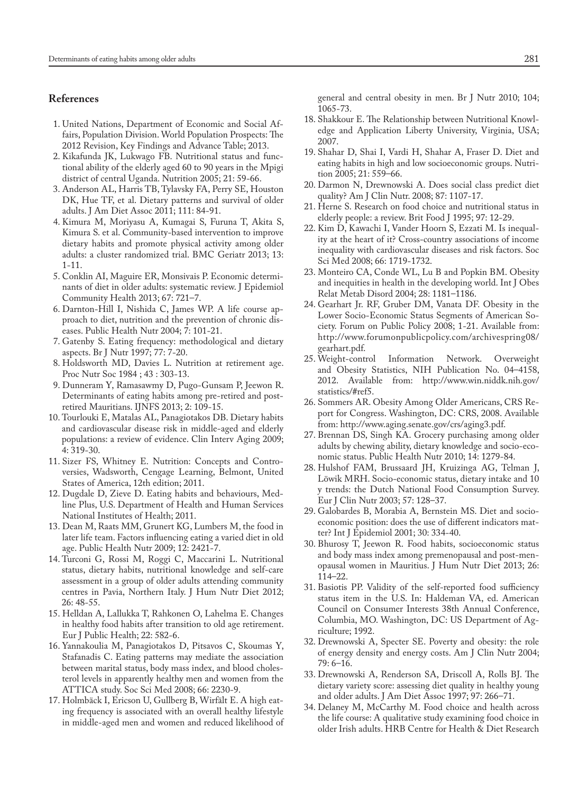# **References**

- 1. United Nations, Department of Economic and Social Affairs, Population Division. World Population Prospects: The 2012 Revision, Key Findings and Advance Table; 2013.
- 2. Kikafunda JK, Lukwago FB. Nutritional status and functional ability of the elderly aged 60 to 90 years in the Mpigi district of central Uganda. Nutrition 2005; 21: 59-66.
- 3. Anderson AL, Harris TB, Tylavsky FA, Perry SE, Houston DK, Hue TF, et al. Dietary patterns and survival of older adults. J Am Diet Assoc 2011; 111: 84-91.
- 4. Kimura M, Moriyasu A, Kumagai S, Furuna T, Akita S, Kimura S. et al. Community-based intervention to improve dietary habits and promote physical activity among older adults: a cluster randomized trial. BMC Geriatr 2013; 13: 1-11.
- 5. Conklin AI, Maguire ER, Monsivais P. Economic determinants of diet in older adults: systematic review. J Epidemiol Community Health 2013; 67: 721–7.
- 6. Darnton-Hill I, Nishida C, James WP. A life course approach to diet, nutrition and the prevention of chronic diseases. Public Health Nutr 2004; 7: 101-21.
- 7. Gatenby S. Eating frequency: methodological and dietary aspects. Br J Nutr 1997; 77: 7-20.
- 8. Holdsworth MD, Davies L. Nutrition at retirement age. Proc Nutr Soc 1984 ; 43 : 303-13.
- 9. Dunneram Y, Ramasawmy D, Pugo-Gunsam P, Jeewon R. Determinants of eating habits among pre-retired and postretired Mauritians. IJNFS 2013; 2: 109-15.
- 10. Tourlouki E, Matalas AL, Panagiotakos DB. Dietary habits and cardiovascular disease risk in middle-aged and elderly populations: a review of evidence. Clin Interv Aging 2009; 4: 319-30.
- 11. Sizer FS, Whitney E. Nutrition: Concepts and Controversies, Wadsworth, Cengage Learning, Belmont, United States of America, 12th edition; 2011.
- 12. Dugdale D, Zieve D. Eating habits and behaviours, Medline Plus, U.S. Department of Health and Human Services National Institutes of Health; 2011.
- 13. Dean M, Raats MM, Grunert KG, Lumbers M, the food in later life team. Factors influencing eating a varied diet in old age. Public Health Nutr 2009; 12: 2421-7.
- 14. Turconi G, Rossi M, Roggi C, Maccarini L. Nutritional status, dietary habits, nutritional knowledge and self-care assessment in a group of older adults attending community centres in Pavia, Northern Italy. J Hum Nutr Diet 2012; 26: 48-55.
- 15. Helldan A, Lallukka T, Rahkonen O, Lahelma E. Changes in healthy food habits after transition to old age retirement. Eur J Public Health; 22: 582-6.
- 16. Yannakoulia M, Panagiotakos D, Pitsavos C, Skoumas Y, Stafanadis C. Eating patterns may mediate the association between marital status, body mass index, and blood cholesterol levels in apparently healthy men and women from the ATTICA study. Soc Sci Med 2008; 66: 2230-9.
- 17. Holmbäck I, Ericson U, Gullberg B, Wirfält E. A high eating frequency is associated with an overall healthy lifestyle in middle-aged men and women and reduced likelihood of

general and central obesity in men. Br J Nutr 2010; 104; 1065-73.

- 18. Shakkour E. The Relationship between Nutritional Knowledge and Application Liberty University, Virginia, USA; 2007.
- 19. Shahar D, Shai I, Vardi H, Shahar A, Fraser D. Diet and eating habits in high and low socioeconomic groups. Nutrition 2005; 21: 559–66.
- 20. Darmon N, Drewnowski A. Does social class predict diet quality? Am J Clin Nutr. 2008; 87: 1107-17.
- 21. Herne S. Research on food choice and nutritional status in elderly people: a review. Brit Food J 1995; 97: 12-29.
- 22. Kim D, Kawachi I, Vander Hoorn S, Ezzati M. Is inequality at the heart of it? Cross-country associations of income inequality with cardiovascular diseases and risk factors. Soc Sci Med 2008; 66: 1719-1732.
- 23. Monteiro CA, Conde WL, Lu B and Popkin BM. Obesity and inequities in health in the developing world. Int J Obes Relat Metab Disord 2004; 28: 1181–1186.
- 24. Gearhart Jr. RF, Gruber DM, Vanata DF. Obesity in the Lower Socio-Economic Status Segments of American Society. Forum on Public Policy 2008; 1-21. Available from: http://www.forumonpublicpolicy.com/archivespring08/ gearhart.pdf.
- 25. Weight-control Information Network. Overweight and Obesity Statistics, NIH Publication No. 04–4158, 2012. Available from: http://www.win.niddk.nih.gov/ statistics/#ref5.
- 26. Sommers AR. Obesity Among Older Americans, CRS Report for Congress. Washington, DC: CRS, 2008. Available from: http://www.aging.senate.gov/crs/aging3.pdf.
- 27. Brennan DS, Singh KA. Grocery purchasing among older adults by chewing ability, dietary knowledge and socio-economic status. Public Health Nutr 2010; 14: 1279-84.
- 28. Hulshof FAM, Brussaard JH, Kruizinga AG, Telman J, Löwik MRH. Socio-economic status, dietary intake and 10 y trends: the Dutch National Food Consumption Survey. Eur J Clin Nutr 2003; 57: 128–37.
- 29. Galobardes B, Morabia A, Bernstein MS. Diet and socioeconomic position: does the use of different indicators matter? Int J Epidemiol 2001; 30: 334-40.
- 30. Bhurosy T, Jeewon R. Food habits, socioeconomic status and body mass index among premenopausal and post-menopausal women in Mauritius. J Hum Nutr Diet 2013; 26: 114–22.
- 31. Basiotis PP. Validity of the self-reported food sufficiency status item in the U.S. In: Haldeman VA, ed. American Council on Consumer Interests 38th Annual Conference, Columbia, MO. Washington, DC: US Department of Agriculture; 1992.
- 32. Drewnowski A, Specter SE. Poverty and obesity: the role of energy density and energy costs. Am J Clin Nutr 2004; 79: 6–16.
- 33. Drewnowski A, Renderson SA, Driscoll A, Rolls BJ. The dietary variety score: assessing diet quality in healthy young and older adults. J Am Diet Assoc 1997; 97: 266–71.
- 34. Delaney M, McCarthy M. Food choice and health across the life course: A qualitative study examining food choice in older Irish adults. HRB Centre for Health & Diet Research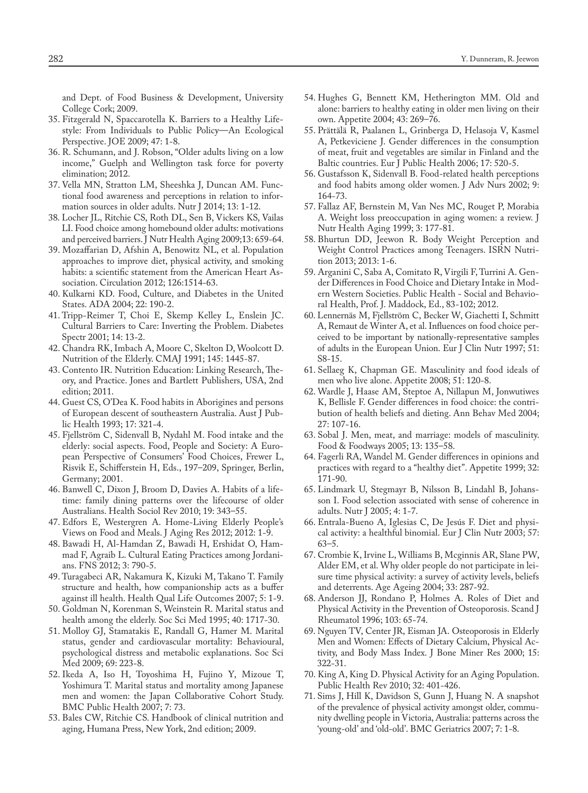and Dept. of Food Business & Development, University College Cork; 2009.

- 35. Fitzgerald N, Spaccarotella K. Barriers to a Healthy Lifestyle: From Individuals to Public Policy—An Ecological Perspective. JOE 2009; 47: 1-8.
- 36. R. Schumann, and J. Robson, "Older adults living on a low income," Guelph and Wellington task force for poverty elimination; 2012.
- 37. Vella MN, Stratton LM, Sheeshka J, Duncan AM. Functional food awareness and perceptions in relation to information sources in older adults. Nutr J 2014; 13: 1-12.
- 38. Locher JL, Ritchie CS, Roth DL, Sen B, Vickers KS, Vailas LI. Food choice among homebound older adults: motivations and perceived barriers. J Nutr Health Aging 2009;13: 659-64.
- 39. Mozaffarian D, Afshin A, Benowitz NL, et al. Population approaches to improve diet, physical activity, and smoking habits: a scientific statement from the American Heart Association. Circulation 2012; 126:1514-63.
- 40. Kulkarni KD. Food, Culture, and Diabetes in the United States. ADA 2004; 22: 190-2.
- 41. Tripp-Reimer T, Choi E, Skemp Kelley L, Enslein JC. Cultural Barriers to Care: Inverting the Problem. Diabetes Spectr 2001; 14: 13-2.
- 42. Chandra RK, Imbach A, Moore C, Skelton D, Woolcott D. Nutrition of the Elderly. CMAJ 1991; 145: 1445-87.
- 43. Contento IR. Nutrition Education: Linking Research, Theory, and Practice. Jones and Bartlett Publishers, USA, 2nd edition; 2011.
- 44. Guest CS, O'Dea K. Food habits in Aborigines and persons of European descent of southeastern Australia. Aust J Public Health 1993; 17: 321-4.
- 45. Fjellström C, Sidenvall B, Nydahl M. Food intake and the elderly: social aspects. Food, People and Society: A European Perspective of Consumers' Food Choices, Frewer L, Risvik E, Schifferstein H, Eds., 197–209, Springer, Berlin, Germany; 2001.
- 46. Banwell C, Dixon J, Broom D, Davies A. Habits of a lifetime: family dining patterns over the lifecourse of older Australians. Health Sociol Rev 2010; 19: 343–55.
- 47. Edfors E, Westergren A. Home-Living Elderly People's Views on Food and Meals. J Aging Res 2012; 2012: 1-9.
- 48. Bawadi H, Al-Hamdan Z, Bawadi H, Ershidat O, Hammad F, Agraib L. Cultural Eating Practices among Jordanians. FNS 2012; 3: 790-5.
- 49. Turagabeci AR, Nakamura K, Kizuki M, Takano T. Family structure and health, how companionship acts as a buffer against ill health. Health Qual Life Outcomes 2007; 5: 1-9.
- 50. Goldman N, Korenman S, Weinstein R. Marital status and health among the elderly. Soc Sci Med 1995; 40: 1717-30.
- 51. Molloy GJ, Stamatakis E, Randall G, Hamer M. Marital status, gender and cardiovascular mortality: Behavioural, psychological distress and metabolic explanations. Soc Sci Med 2009; 69: 223-8.
- 52. Ikeda A, Iso H, Toyoshima H, Fujino Y, Mizoue T, Yoshimura T. Marital status and mortality among Japanese men and women: the Japan Collaborative Cohort Study. BMC Public Health 2007; 7: 73.
- 53. Bales CW, Ritchie CS. Handbook of clinical nutrition and aging, Humana Press, New York, 2nd edition; 2009.
- 54. Hughes G, Bennett KM, Hetherington MM. Old and alone: barriers to healthy eating in older men living on their own. Appetite 2004; 43: 269–76.
- 55. Prättälä R, Paalanen L, Grinberga D, Helasoja V, Kasmel A, Petkeviciene J. Gender differences in the consumption of meat, fruit and vegetables are similar in Finland and the Baltic countries. Eur J Public Health 2006; 17: 520-5.
- 56. Gustafsson K, Sidenvall B. Food-related health perceptions and food habits among older women. J Adv Nurs 2002; 9: 164-73.
- 57. Fallaz AF, Bernstein M, Van Nes MC, Rouget P, Morabia A. Weight loss preoccupation in aging women: a review. J Nutr Health Aging 1999; 3: 177-81.
- 58. Bhurtun DD, Jeewon R. Body Weight Perception and Weight Control Practices among Teenagers. ISRN Nutrition 2013; 2013: 1-6.
- 59. Arganini C, Saba A, Comitato R, Virgili F, Turrini A. Gender Differences in Food Choice and Dietary Intake in Modern Western Societies. Public Health - Social and Behavioral Health, Prof. J. Maddock, Ed., 83-102; 2012.
- 60. Lennernäs M, Fjellström C, Becker W, Giachetti I, Schmitt A, Remaut de Winter A, et al. Influences on food choice perceived to be important by nationally-representative samples of adults in the European Union. Eur J Clin Nutr 1997; 51: S8-15.
- 61. Sellaeg K, Chapman GE. Masculinity and food ideals of men who live alone. Appetite 2008; 51: 120-8.
- 62. Wardle J, Haase AM, Steptoe A, Nillapun M, Jonwutiwes K, Bellisle F. Gender differences in food choice: the contribution of health beliefs and dieting. Ann Behav Med 2004; 27: 107-16.
- 63. Sobal J. Men, meat, and marriage: models of masculinity. Food & Foodways 2005; 13: 135–58.
- 64. Fagerli RA, Wandel M. Gender differences in opinions and practices with regard to a "healthy diet". Appetite 1999; 32: 171-90.
- 65. Lindmark U, Stegmayr B, Nilsson B, Lindahl B, Johansson I. Food selection associated with sense of coherence in adults. Nutr J 2005; 4: 1-7.
- 66. Entrala-Bueno A, Iglesias C, De Jesús F. Diet and physical activity: a healthful binomial. Eur J Clin Nutr 2003; 57: 63–5.
- 67. Crombie K, Irvine L, Williams B, Mcginnis AR, Slane PW, Alder EM, et al. Why older people do not participate in leisure time physical activity: a survey of activity levels, beliefs and deterrents. Age Ageing 2004; 33: 287-92.
- 68. Anderson JJ, Rondano P, Holmes A. Roles of Diet and Physical Activity in the Prevention of Osteoporosis. Scand J Rheumatol 1996; 103: 65-74.
- 69. Nguyen TV, Center JR, Eisman JA. Osteoporosis in Elderly Men and Women: Effects of Dietary Calcium, Physical Activity, and Body Mass Index. J Bone Miner Res 2000; 15: 322-31.
- 70. King A, King D. Physical Activity for an Aging Population. Public Health Rev 2010; 32: 401-426.
- 71. Sims J, Hill K, Davidson S, Gunn J, Huang N. A snapshot of the prevalence of physical activity amongst older, community dwelling people in Victoria, Australia: patterns across the 'young-old' and 'old-old'. BMC Geriatrics 2007; 7: 1-8.